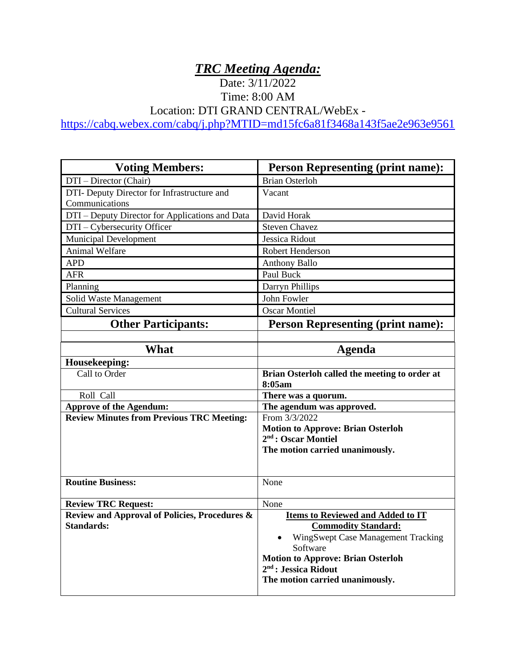## *TRC Meeting Agenda:*

## Date: 3/11/2022 Time: 8:00 AM

Location: DTI GRAND CENTRAL/WebEx -

<https://cabq.webex.com/cabq/j.php?MTID=md15fc6a81f3468a143f5ae2e963e9561>

| <b>Voting Members:</b>                           | <b>Person Representing (print name):</b>                                    |
|--------------------------------------------------|-----------------------------------------------------------------------------|
| DTI – Director (Chair)                           | <b>Brian Osterloh</b>                                                       |
| DTI- Deputy Director for Infrastructure and      | Vacant                                                                      |
| Communications                                   |                                                                             |
| DTI - Deputy Director for Applications and Data  | David Horak                                                                 |
| DTI - Cybersecurity Officer                      | <b>Steven Chavez</b>                                                        |
| Municipal Development                            | Jessica Ridout                                                              |
| Animal Welfare                                   | Robert Henderson                                                            |
| <b>APD</b>                                       | Anthony Ballo                                                               |
| <b>AFR</b>                                       | Paul Buck                                                                   |
| Planning                                         | Darryn Phillips                                                             |
| Solid Waste Management                           | John Fowler                                                                 |
| <b>Cultural Services</b>                         | <b>Oscar Montiel</b>                                                        |
| <b>Other Participants:</b>                       | <b>Person Representing (print name):</b>                                    |
|                                                  |                                                                             |
| <b>What</b>                                      | <b>Agenda</b>                                                               |
| Housekeeping:                                    |                                                                             |
| Call to Order                                    | Brian Osterloh called the meeting to order at                               |
|                                                  | 8:05am                                                                      |
| Roll Call                                        | There was a quorum.                                                         |
| <b>Approve of the Agendum:</b>                   | The agendum was approved.                                                   |
| <b>Review Minutes from Previous TRC Meeting:</b> | From 3/3/2022                                                               |
|                                                  | <b>Motion to Approve: Brian Osterloh</b><br>2 <sup>nd</sup> : Oscar Montiel |
|                                                  | The motion carried unanimously.                                             |
|                                                  |                                                                             |
|                                                  |                                                                             |
| <b>Routine Business:</b>                         | None                                                                        |
|                                                  |                                                                             |
| <b>Review TRC Request:</b>                       | None                                                                        |
| Review and Approval of Policies, Procedures &    | <b>Items to Reviewed and Added to IT</b>                                    |
| <b>Standards:</b>                                | <b>Commodity Standard:</b>                                                  |
|                                                  | WingSwept Case Management Tracking                                          |
|                                                  | Software                                                                    |
|                                                  | <b>Motion to Approve: Brian Osterloh</b>                                    |
|                                                  | $2nd$ : Jessica Ridout                                                      |
|                                                  | The motion carried unanimously.                                             |